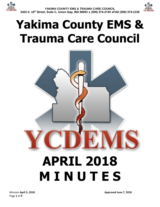

# **Yakima County EMS & Trauma Care Council**



**M I N U T E S**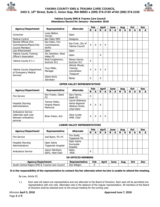



#### **Yakima County EMS & Trauma Care Council Attendance Record for January– December 2018**

| <b>Agency/Department</b>                                                   | Representative                              | <b>Alternate</b>                                                      | Feb                |     |              | <b>April</b>              |             | <b>June</b> |   | Aug |             | Oct        |   | <b>Dec</b> |
|----------------------------------------------------------------------------|---------------------------------------------|-----------------------------------------------------------------------|--------------------|-----|--------------|---------------------------|-------------|-------------|---|-----|-------------|------------|---|------------|
|                                                                            |                                             |                                                                       | R                  | A   | R            | A                         | R           | A           | R | A   | R           | A          | R | A          |
| Consumer                                                                   | Loren Belton,<br><b>YVCOG</b>               | Open                                                                  |                    |     |              |                           |             |             |   |     |             |            |   |            |
| <b>Medical Control</b>                                                     | Ben Maltz MPD                               | Designee                                                              |                    |     |              |                           |             |             |   |     |             |            |   |            |
| Elected Official (Fire                                                     | Ken Eakin, Fire                             |                                                                       |                    |     |              |                           |             |             |   |     |             |            |   |            |
| Commissioner/Mayor/City                                                    | Commissioner,                               | Kay Funk, City of<br>Yakima Council                                   | $\pmb{\mathsf{X}}$ | X   | X            | X                         |             |             |   |     |             |            |   |            |
| Council Member)                                                            | <b>WVFD</b>                                 |                                                                       |                    |     |              |                           |             |             |   |     |             |            |   |            |
| Law Enforcement                                                            | Open                                        | Open                                                                  |                    |     |              |                           |             |             |   |     |             |            |   |            |
| Yakima County Training<br>Officer's Association                            | Jim Johnston, West<br>Valley FD             | Open                                                                  |                    |     | X            |                           |             |             |   |     |             |            |   |            |
| Yakima County 9-1-1                                                        | Brad Coughenour,                            | Stacey Garcia,                                                        | X                  |     |              |                           |             |             |   |     |             |            |   |            |
|                                                                            | SunCom 911                                  | SunCom 911                                                            |                    |     |              |                           |             |             |   |     |             |            |   |            |
| Yakima County Department<br>of Emergency Medical<br><b>Services</b>        | Tony Miller,<br>Manager                     | Wendy Moudy,<br>Training<br>Coordinator,<br><b>Treasurer</b>          | X                  | X   | X            | $\boldsymbol{\mathsf{X}}$ |             |             |   |     |             |            |   |            |
|                                                                            | Diane Koch,<br>Secretary                    | None                                                                  | X                  |     | X            |                           |             |             |   |     |             |            |   |            |
| <b>UPPER VALLEY REPRESENTATIVES</b>                                        |                                             |                                                                       |                    |     |              |                           |             |             |   |     |             |            |   |            |
|                                                                            |                                             |                                                                       |                    | Feb |              | April                     | <b>June</b> |             |   | Aug |             | <b>Oct</b> |   | <b>Dec</b> |
| <b>Agency/Department</b>                                                   | Representative                              | <b>Alternate</b>                                                      | R                  | A   | $\mathsf{R}$ | A                         | $\mathbf R$ | A           | R | A   | $\mathbf R$ | A          | R | A          |
| <b>Fire Service</b>                                                        | Ken Frazier, Gleed<br><b>FD</b>             | Gary Hanna,<br>Selah FD                                               | $\mathsf{x}$       |     |              |                           |             |             |   |     |             |            |   |            |
| Hospital (Nursing<br>Administration)                                       | Tammy Pettis,<br>Virginia Mason<br>Memorial | Laurie Robinson,<br>Astria Regional<br>Medical Center,<br>Chair-Elect | $\mathsf{X}$       | X   | X            |                           |             |             |   |     |             |            |   |            |
| Ambulance Service<br>(alternate each year<br>between ambulance<br>services | Brian Ireton, ALS                           | Dave Lynde,<br>AMR, Chair                                             | $\pmb{\mathsf{X}}$ | X   | X            | X                         |             |             |   |     |             |            |   |            |
|                                                                            |                                             | <b>LOWER VALLEY REPRESENTATIVES</b>                                   |                    |     |              |                           |             |             |   |     |             |            |   |            |
|                                                                            |                                             |                                                                       |                    | Feb |              | <b>April</b>              |             | <b>June</b> |   | Aug |             | <b>Oct</b> |   | <b>Dec</b> |
| <b>Agency/Department</b>                                                   | Representative                              | <b>Alternate</b>                                                      | $\mathbf R$        | A   | $\mathbf R$  | A                         | $\mathbf R$ | A           | R | A   | $\mathbf R$ | A          | R | A          |
| <b>Fire Service</b>                                                        | Joel Byam, FD #5                            | Tim Smith,<br>Toppenish FD                                            |                    |     |              |                           |             |             |   |     |             |            |   |            |
| Hospital (Nursing<br>Administration)                                       | Open Astria<br>Toppenish Hospital           | Open Astria<br>Sunnyside<br>Hospital                                  |                    |     |              |                           |             |             |   |     |             |            |   |            |
| Ambulance Service                                                          | Aaron Markham,<br>SSFD, Past-Chair          | Open,<br><b>WSA</b>                                                   | X                  |     |              |                           |             |             |   |     |             |            |   |            |
| <b>EX-OFFICIO MEMBERS</b>                                                  |                                             |                                                                       |                    |     |              |                           |             |             |   |     |             |            |   |            |
| <b>Agency/Department</b>                                                   |                                             | Representative                                                        |                    | Feb |              | <b>April</b>              |             | <b>June</b> |   | Aug |             | Oct        |   | <b>Dec</b> |
| South Central Region EMS & Trauma Care Council                             |                                             | Zita Wiltgen                                                          |                    | X.  |              |                           |             |             |   |     |             |            |   |            |

**It is the responsibility of the representative to contact his/her alternate when he/she is unable to attend the meeting.**

By-Law, Article III

1.1 Each seat will select one representative and one alternate to the Board of Directors. Each seat will be permitted one representative with one vote. Alternates vote in the absence of the regular representative. All members of the Board of Directors shall be selected prior to the annual meeting for the coming year.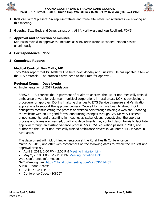



- **1. Roll call** with 9 present. Six representatives and three alternates. No alternates were voting at this meeting.
- **2. Guests**: Suzy Beck and Jonas Landstrom, Airlift Northwest and Ken Robillard, FD#5

# **3. Approval and correction of minutes**

Ken Eakin moved to approve the minutes as sent. Brian Ireton seconded. Motion passed unanimously.

**4. Correspondence** - None

# **5. Committee Reports**

# **Medical Control: Ben Maltz, MD**

Tony Miller report that Dr. Maltz will be here next Monday and Tuesday. He has updated a few of the ALS protocols. The protocols have been to the State for approval.

# **Regional Council: Dave Lynde**

A. Implementation of 2017 Legislation

SSB5751 – Authorizes the Department of Health to approve the use of non-medically trained ambulance drivers for volunteer municipal corporations in rural areas. DOH is developing a procedure for approval. DOH is finalizing changes to EMS Service Licensure and Verification applications to support the approval process. Once all forms have been finalized, DOH anticipates communicating the process to stakeholders through holding a webinar, updating the website with an FAQ and forms, announcing changes through Gov Delivery Listserve announcements, and presenting in meetings as stakeholders request. Until the approval process and forms are finalized, qualifying departments may contact Jason Norris to facilitate approval through an existing variance process. SSB 5751 legislation passed in 2017, and authorized the use of non-medically trained ambulance drivers in volunteer EMS services in rural areas.

The department will kick off implementation at the Rural Health Conference on March 27, 2018, and offer web conferences on the following dates to review the request and approval process.

- April 3, 2018, 1:00 PM 2:00 PM [Meeting Invitation Link](http://links.govdelivery.com/track?type=click&enid=ZWFzPTEmbXNpZD0mYXVpZD0mbWFpbGluZ2lkPTIwMTgwMzI3Ljg3NTkyNTAxJm1lc3NhZ2VpZD1NREItUFJELUJVTC0yMDE4MDMyNy44NzU5MjUwMSZkYXRhYmFzZWlkPTEwMDEmc2VyaWFsPTE3MTA0MDA4JmVtYWlsaWQ9ZGx5bmRlQGFtci1lbXMuY29tJnVzZXJpZD1kbHluZGVAYW1yLWVtcy5jb20mdGFyZ2V0aWQ9JmZsPSZleHRyYT1NdWx0aXZhcmlhdGVJZD0mJiY=&&&100&&&https://content.govdelivery.com/attachments/WADOH/2018/03/21/file_attachments/977672/5751%2BImplementation%2BWeb%2BConference%2B%25231.ics)
- May 2, 2018, 1:00 PM 2:00 PM [Meeting Invitation Link](http://links.govdelivery.com/track?type=click&enid=ZWFzPTEmbXNpZD0mYXVpZD0mbWFpbGluZ2lkPTIwMTgwMzI3Ljg3NTkyNTAxJm1lc3NhZ2VpZD1NREItUFJELUJVTC0yMDE4MDMyNy44NzU5MjUwMSZkYXRhYmFzZWlkPTEwMDEmc2VyaWFsPTE3MTA0MDA4JmVtYWlsaWQ9ZGx5bmRlQGFtci1lbXMuY29tJnVzZXJpZD1kbHluZGVAYW1yLWVtcy5jb20mdGFyZ2V0aWQ9JmZsPSZleHRyYT1NdWx0aXZhcmlhdGVJZD0mJiY=&&&101&&&https://content.govdelivery.com/attachments/WADOH/2018/03/21/file_attachments/977654/5751%2BImplementation%2BWeb%2BConference%2B%25232.ics) Web Conference Information:

GoToMeeting Link: [https://global.gotomeeting.com/join/536414437](http://links.govdelivery.com/track?type=click&enid=ZWFzPTEmbXNpZD0mYXVpZD0mbWFpbGluZ2lkPTIwMTgwMzI3Ljg3NTkyNTAxJm1lc3NhZ2VpZD1NREItUFJELUJVTC0yMDE4MDMyNy44NzU5MjUwMSZkYXRhYmFzZWlkPTEwMDEmc2VyaWFsPTE3MTA0MDA4JmVtYWlsaWQ9ZGx5bmRlQGFtci1lbXMuY29tJnVzZXJpZD1kbHluZGVAYW1yLWVtcy5jb20mdGFyZ2V0aWQ9JmZsPSZleHRyYT1NdWx0aXZhcmlhdGVJZD0mJiY=&&&102&&&https://global.gotomeeting.com/join/536414437) Audio / Phone Access:

- Call: 877-351-4402
- Conference Code: 4308297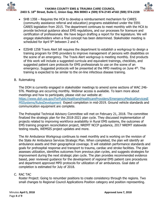



- SHB 1358 Requires the HCA to develop a reimbursement mechanism for CARES (community assistance referral and education) programs established under the 5591 CARES legislation from 2015. The department continues to meet monthly with the HCA to provide technical guidance about EMS regulations, and our processes for licensure and certification of professionals. We have begun drafting a report for the legislature. We will engage stakeholders when a final concept has been determined. Stakeholder meeting is scheduled for April 9<sup>th</sup> between 2 and 4.
- E2SHB 1258 Travis Alert bill requires the department to establish a workgroup to design a training program for EMS providers to improve management of persons with disabilities on the scene of an emergency. The Travis Alert workgroup is meeting monthly. End products of this work will include a suggested curricula and equivalent trainings, checklists, and suggested patient care protocols for EMS professionals to use on the scene of an emergency. Suggested protocols will be presented at the MPD meeting on June 4<sup>th</sup>. The training is expected to be similar to the on-line infectious disease training.
- B. Rulemaking

The DOH is currently engaged in stakeholder meetings to amend some sections of WAC 246- 976. Meetings are occurring monthly. Webinar access is available. To learn more about meetings and how to participate, please visit our website at: [https://www.doh.wa.gov/ForPublicHealthandHealthcareProviders/EmergencyMedicalServicesE](https://www.doh.wa.gov/ForPublicHealthandHealthcareProviders/EmergencyMedicalServicesEMSSystems/RulesDevelopment) [MSSystems/RulesDevelopment](https://www.doh.wa.gov/ForPublicHealthandHealthcareProviders/EmergencyMedicalServicesEMSSystems/RulesDevelopment) Expect completion in mid-2019. Ground vehicle standards and communication equipment are complete.

The Prehospital Technical Advisory Committee will met on February 21, 2018. The committee finalized the strategic plan for the 2018-2021 plan cycle. They discussed implementation of projects related to improving workforce availability in Rural EMS systems, the outcomes of EMS training program reconciliation project, NREMT NCCP guidance, 2017 NREMT statewide testing results, WEMSIS project updates and more.

The Air Ambulance Workgroup continues to meet monthly and is working on the revision of the State Air Ambulance Services Strategic Plan. When completed, the plan will identify air ambulance assets and their geographical coverage. It will establish performance standards and goals for prehospital response and transport to trauma, cardiac and stroke facilities. The plan assesses utilization, identifies outcomes from previous plan cycles, and suggests strategies for improvement during the next strategic plan cycle. The plan provides recommended evidence based, peer reviewed guidance for the development of regional EMS patient care procedures and department approved MPD protocols for utilization of air ambulances. Goal date of completion is estimated for July of 2018.

### C. RAC TAC

Roster Project: Going to renumber positions to create consistency through the regions. Two small changes to Regional Council Applications Position category and position representing.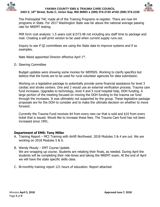



The Prehospital TAC made all of the Training Programs re-register. There are now 64 programs in State. For 2017 Washington State was far above the national average passing rate for NREMT testing.

MIR form cost analysis: 1.5 years cost \$1573.48 not including any staff time to package and mail. Creating a self-print version to be used when current supply runs out.

Inquiry to see if QI committees are using the State data to improve systems and if so examples.

Nate Weed appointed Director effective April 1st.

D. Steering Committee

Budget updates were showing some monies for WEMSIS. Working to clarify specifics but believe that the funds are to be used for rural volunteer agencies for data submission.

Working on a legislative package to potentially provide some financial assistance for level 3 cardiac and stroke centers. One and 2 would use an external verification process. Trauma care fund increases. Upgrades to technology, level 4 and 5 rural hospital help, DOH funding. A large portion of the meeting focused on moving the DOH funding to the trauma car fund through the increases. It was ultimately not supported by the group. These legislative package proposals are for the DOH to consider and to make the ultimate decision on whether to move forward.

Currently the Trauma Fund receives \$4 from every new car that is sold and \$10 from every ticket that is issued. Would like to increase these fees. The Trauma Care fund has not been increased since 1991.

# **Department of EMS: Tony Miller**

- A. Training Report MCI Training with Airlift Northwest. 2018 Modules 3 & 4 are out. We are working on 2018 Modules 5 & 6.
- B. Wendy Moudy EMT Course Update

We are wrapping up course. Students are retaking their finals, as needed. During April the students will be completing their ride-times and taking the NREMT exam. At the end of April we will have the state specific skills class.

C. Bi-monthly training report 121 hours of education. Report attached.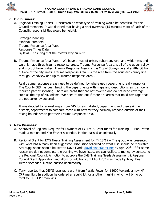



## **6. Old Business:**

A. Regional Training Topics – Discussion on what type of training would be beneficial for the Council members. It was decided that having a brief overview (15 minutes max) of each of the Council's responsibilities would be helpful.

Strategic Planning Min/Max numbers Trauma Response Area Maps Response Times Data By laws – ensuring that the bylaws stay current.

B. Trauma Response Area Maps – We have a map of urban, suburban, rural and wilderness and we only have three trauma response areas. Trauma Response Area 1 is all of the upper valley and most of lower valley. Trauma Response Area 2 is the City of Sunnyside and a little bit from outside of the city limits. Trauma Response Area 3 is the area from the southern county line through Grandview and up to Trauma Response Area 2.

Real trauma response areas need to be defined, by where each department really responds. The County GIS has been helping the departments with maps and descriptions, as it is now a required part of licensing. There are areas that are not covered and do not need coverage, such as the top of Mt. Adams. We need to find out if there are areas that need coverage that are not currently covered.

It was decided to request maps from GIS for each district/department and then ask the districts/departments to compare these with how far they normally respond outside of their taxing boundaries to get their Trauma Response Area.

### **7. New Business:**

- A. Approval of Regional Request for Payment of FY 17/18 Grant funds for Training Brian Ireton made a motion and Ken Frazier seconded. Motion passed unanimously.
- B. Regional Grant for EMS Needs Training Assessment for FY 18/19 The group was presented with what has already been suggested. Discussion followed on what else should be requested. Any suggestions should be sent to Dave Lynde [david.lynde@amr.net](mailto:david.lynde@amr.net) by April 20<sup>th</sup>. If for some reason we do not complete the training we have listed, we can reallocate money by contacting the Regional Council. A motion to approve the EMS Training Needs Assessment & Regional Council Grant Application and allow for additions until April 20<sup>th</sup> was made by Tony. Brian Ireton seconded. Motion passed unanimously.
- C. Tony reported that DEMS received a grant from Pacific Power for \$1000 towards a new HP CPR manikin. In addition he ordered a rebuild kit for another manikin, which will bring our total to 5 HP CPR manikins.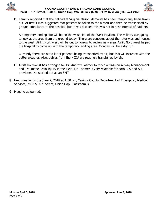



D. Tammy reported that the helipad at Virginia Mason Memorial has been temporarily been taken out. At first it was suggested that patients be taken to the airport and then be transported by ground ambulance to the hospital, but it was decided this was not in best interest of patients.

A temporary landing site will be on the west side of the West Pavilion. The military was going to look at the area from the ground today. There are concerns about the rotor was and houses to the west. Airlift Northwest will be out tomorrow to review new area. Airlift Northwest helped the hospital to come up with the temporary landing area. Monday will be a dry run.

Currently there are not a lot of patients being transported by air, but this will increase with the better weather. Also, babies from the NICU are routinely transferred by air.

- E. Airlift Northwest has arranged for Dr. Andrew Latimer to teach a class on Airway Management and Traumatic Brain Injury in the Field. Dr. Latimer is very relatable for both BLS and ALS providers. He started out as an EMT
- **8.** Next meeting is the June 7, 2018 at 1:30 pm, Yakima County Department of Emergency Medical Services, 2403 S. 18<sup>th</sup> Street, Union Gap, Classroom B.
- **9.** Meeting adjourned.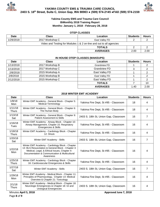



#### **Yakima County EMS and Trauma Care Council BiMonthly 2018 Training Report Months: January 1, 2018 - February 28, 2018**

#### **OTEP CLASSES**

| <b>Date</b>                                                         | Class           | Location        | <b>Students</b> | <b>Hours</b> |  |  |
|---------------------------------------------------------------------|-----------------|-----------------|-----------------|--------------|--|--|
| 1/29/2018                                                           | 2017 Workshop C | East Valley FD  |                 |              |  |  |
| Video and Testing for Modules 1 & 2 on-line and out to all agencies |                 |                 |                 |              |  |  |
| <b>TOTALS</b>                                                       |                 |                 |                 |              |  |  |
|                                                                     |                 | <b>AVERAGES</b> | 2.00            | 2.00         |  |  |

# **IN HOUSE OTEP CLASSES (MAKEUPS)**

| Date      | <b>Class</b>    | Location            | <b>Students</b> | <b>Hours</b> |
|-----------|-----------------|---------------------|-----------------|--------------|
| 1/13/2018 | 2017 Workshop B | <b>Grandview FD</b> |                 |              |
| 1/13/2018 | 2017 Workshop C | <b>Grandview FD</b> |                 |              |
| 2/8/2018  | 2015 Workshop A | East Valley FD      |                 |              |
| 2/8/2018  | 2015 Workshop B | East Valley FD      |                 |              |
| 2/12/2018 | 2015 Workshop C | East Valley FD      |                 |              |
|           |                 | <b>TOTALS</b>       |                 | 10           |
|           |                 | <b>AVERAGES</b>     | 1.40            | 2.00         |

#### **2018 WINTER EMT ACADEMY**

| <b>Date</b>             | <b>Class</b>                                                                                                                                                                                                        | Location                              | <b>Students</b> | <b>Hours</b>   |
|-------------------------|---------------------------------------------------------------------------------------------------------------------------------------------------------------------------------------------------------------------|---------------------------------------|-----------------|----------------|
| 1/8/18<br>Mon           | Winter EMT Academy - General Block - Chapter 5:<br><b>Medical Terminology</b>                                                                                                                                       | Yakima Fire Dept, St #95 - Classroom  | 18              | 4              |
| 1/11/18<br><b>Thurs</b> | Winter EMT Academy - General Block - Chapter 6:<br>The Human Body                                                                                                                                                   | Yakima Fire Dept, St #95 - Classroom  | 18              | 4              |
| 1/13/18<br>Sat          | Winter EMT Academy - General Block - Chapter 9:<br>Patient Assessment & Skills                                                                                                                                      | 2403 S. 18th St, Union Gap, Classroom | 16              | $\overline{7}$ |
| 1/16/18<br><b>Tues</b>  | Winter EMT Academy - Airway Block - Chapter 10:<br>Airway Management, Chapter 15: Respiratory<br>Emergencies & Skills                                                                                               | Yakima Fire Dept, St #95 - Classroom  | 16              | 4              |
| 1/18/18<br><b>Thurs</b> | Winter EMT Academy - Cardiology Block - Chapter<br>12: Shock                                                                                                                                                        | Yakima Fire Dept, St #95 - Classroom  |                 | 4              |
| 1/20/18<br>Sat          | Winter EMT Academy - Skills                                                                                                                                                                                         | 2403 S. 18th St, Union Gap, Classroom | 16              | $\overline{7}$ |
| 1/22/18<br>Mon          | Winter EMT Academy - Cardiology Block - Chapter<br>13: BLS Resuscitation & General Block - Chapter 3:<br>Medical, Legal, & Ethical Issues, Chapter 4-<br>Documentation & Communication & Multicultural<br>Awareness | Yakima Fire Dept, St #95 - Classroom  | 16              | 4              |
| 1/25/18<br><b>Thurs</b> | Winter EMT Academy - Cardiology Block - Chapter<br>16: Cardiovascular Emergencies & Skills                                                                                                                          | Yakima Fire Dept, St #95 - Classroom  | 16              | 4              |
| 1/27/18<br>Sat          | Winter EMT Academy - Skills                                                                                                                                                                                         | 2403 S. 18th St, Union Gap, Classroom | 16              | $\overline{7}$ |
| 1/29/18<br>Mon          | Winter EMT Academy - Medical Block - Chapter 11:<br>Principles of Pharmacology, Chapter 14: Medical<br>Overview & Chapter 21: Toxicology                                                                            | Yakima Fire Dept, St #95 - Classroom  | 16              | 4              |
| 2/1/18<br><b>Thurs</b>  | Winter EMT Academy - Medical Block - Chapter 18:<br>Neurologic Emergencies & Chapter 18: GI and<br>Urological Emergencies                                                                                           | 2403 S. 18th St, Union Gap, Classroom | 16              | 4              |